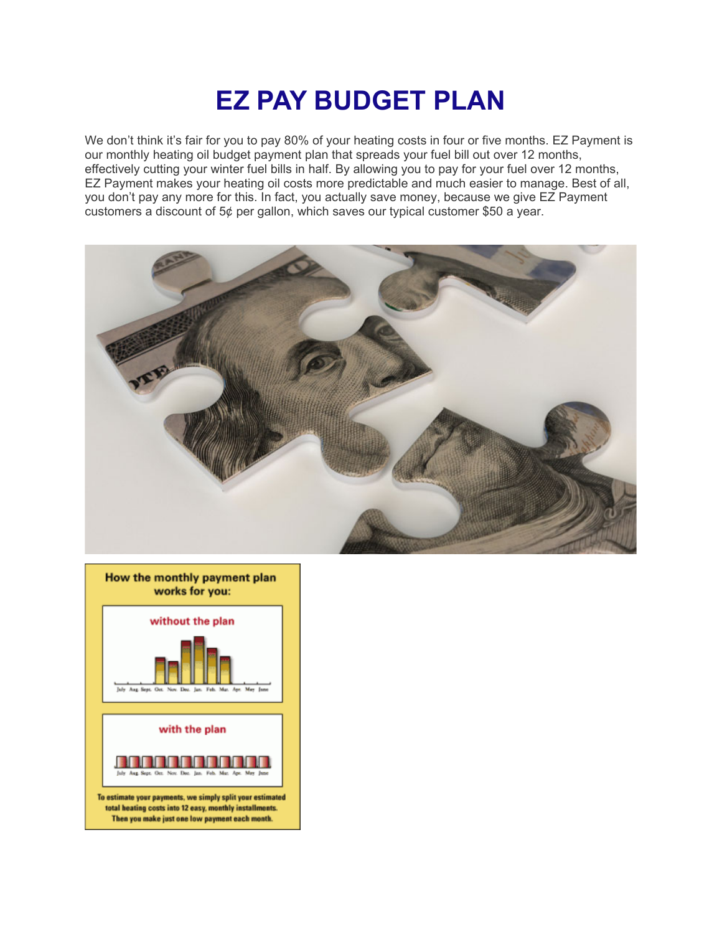## **EZ PAY BUDGET PLAN**

We don't think it's fair for you to pay 80% of your heating costs in four or five months. EZ Payment is our monthly heating oil budget payment plan that spreads your fuel bill out over 12 months, effectively cutting your winter fuel bills in half. By allowing you to pay for your fuel over 12 months, EZ Payment makes your heating oil costs more predictable and much easier to manage. Best of all, you don't pay any more for this. In fact, you actually save money, because we give EZ Payment customers a discount of  $5¢$  per gallon, which saves our typical customer \$50 a year.